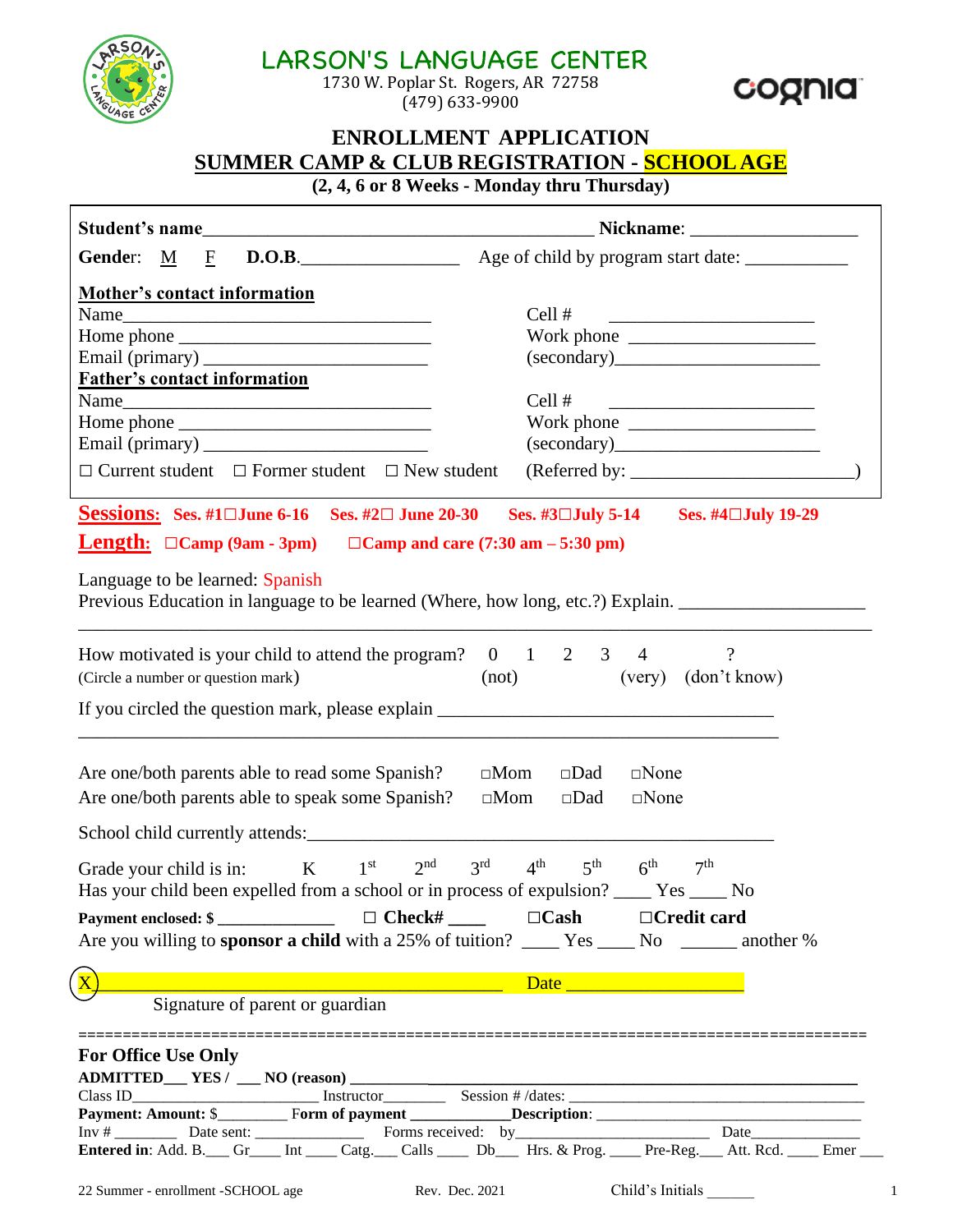

1730 W. Poplar St. Rogers, AR 72758 (479) 633-9900



## **ENROLLMENT APPLICATION SUMMER CAMP & CLUB REGISTRATION - SCHOOL AGE**

**(2, 4, 6 or 8 Weeks - Monday thru Thursday)**

| $\mathbf{D.O.B.}$<br>Gender: M<br>$\mathbf{F}$                                                                                                      | Age of child by program start date: ____________                                                                                |  |  |
|-----------------------------------------------------------------------------------------------------------------------------------------------------|---------------------------------------------------------------------------------------------------------------------------------|--|--|
| <b>Mother's contact information</b>                                                                                                                 |                                                                                                                                 |  |  |
|                                                                                                                                                     | Cell #                                                                                                                          |  |  |
|                                                                                                                                                     |                                                                                                                                 |  |  |
|                                                                                                                                                     | (secondary)                                                                                                                     |  |  |
| <b>Father's contact information</b>                                                                                                                 |                                                                                                                                 |  |  |
|                                                                                                                                                     | Cell #<br><u> Alexandro de la contexta de la contexta de la contexta de la contexta de la contexta de la contexta de la con</u> |  |  |
|                                                                                                                                                     |                                                                                                                                 |  |  |
|                                                                                                                                                     | (secondary)                                                                                                                     |  |  |
| $\Box$ Current student $\Box$ Former student $\Box$ New student                                                                                     |                                                                                                                                 |  |  |
| <b>Sessions:</b> Ses. #1 $\Box$ June 6-16 Ses. #2 $\Box$ June 20-30                                                                                 | Ses. #3□July 5-14 Ses. #4□July 19-29                                                                                            |  |  |
| <b>Length:</b> $\Box$ Camp (9am - 3pm) $\Box$ Camp and care (7:30 am - 5:30 pm)                                                                     |                                                                                                                                 |  |  |
| Language to be learned: Spanish                                                                                                                     |                                                                                                                                 |  |  |
| Previous Education in language to be learned (Where, how long, etc.?) Explain. ____________________                                                 |                                                                                                                                 |  |  |
|                                                                                                                                                     |                                                                                                                                 |  |  |
| How motivated is your child to attend the program? $0 \t 1 \t 2 \t 3 \t 4$                                                                          | $\gamma$                                                                                                                        |  |  |
| (Circle a number or question mark)                                                                                                                  | (very) (don't know)<br>(not)                                                                                                    |  |  |
|                                                                                                                                                     |                                                                                                                                 |  |  |
| If you circled the question mark, please explain ________________________________                                                                   |                                                                                                                                 |  |  |
|                                                                                                                                                     |                                                                                                                                 |  |  |
| Are one/both parents able to read some Spanish?<br>$\square$ Mom                                                                                    | $\square$ None<br>$\square$ Dad                                                                                                 |  |  |
| Are one/both parents able to speak some Spanish?<br>$\Box$ Mom                                                                                      | $\square$ None<br>$\square$ Dad                                                                                                 |  |  |
|                                                                                                                                                     |                                                                                                                                 |  |  |
|                                                                                                                                                     |                                                                                                                                 |  |  |
| Grade your child is in: $K = 1^{st} = 2^{nd} = 3^{rd}$<br>Has your child been expelled from a school or in process of expulsion? _____ Yes _____ No | $4^{th}$ $5^{th}$ $6^{th}$ $7^{th}$                                                                                             |  |  |
|                                                                                                                                                     |                                                                                                                                 |  |  |
| Payment enclosed: \$ ________________ □ Check# _____ □ Cash □ Credit card                                                                           |                                                                                                                                 |  |  |
| Are you willing to <b>sponsor a child</b> with a 25% of tuition? _____ Yes _____ No _______ another %                                               |                                                                                                                                 |  |  |
| <u> Andrew Maria (1989)</u>                                                                                                                         | Date <u>and the same of the same of the same</u>                                                                                |  |  |
| Signature of parent or guardian                                                                                                                     |                                                                                                                                 |  |  |
|                                                                                                                                                     |                                                                                                                                 |  |  |
| <b>For Office Use Only</b>                                                                                                                          |                                                                                                                                 |  |  |
|                                                                                                                                                     |                                                                                                                                 |  |  |
|                                                                                                                                                     |                                                                                                                                 |  |  |
|                                                                                                                                                     |                                                                                                                                 |  |  |
| Entered in: Add. B. Gr_ Gr_ Int _ Catg. Calls _ Db_ Hrs. & Prog. Pre-Reg. Att. Rcd. _ Emer                                                          |                                                                                                                                 |  |  |

| Rev. Dec. 2021 |  |
|----------------|--|
|                |  |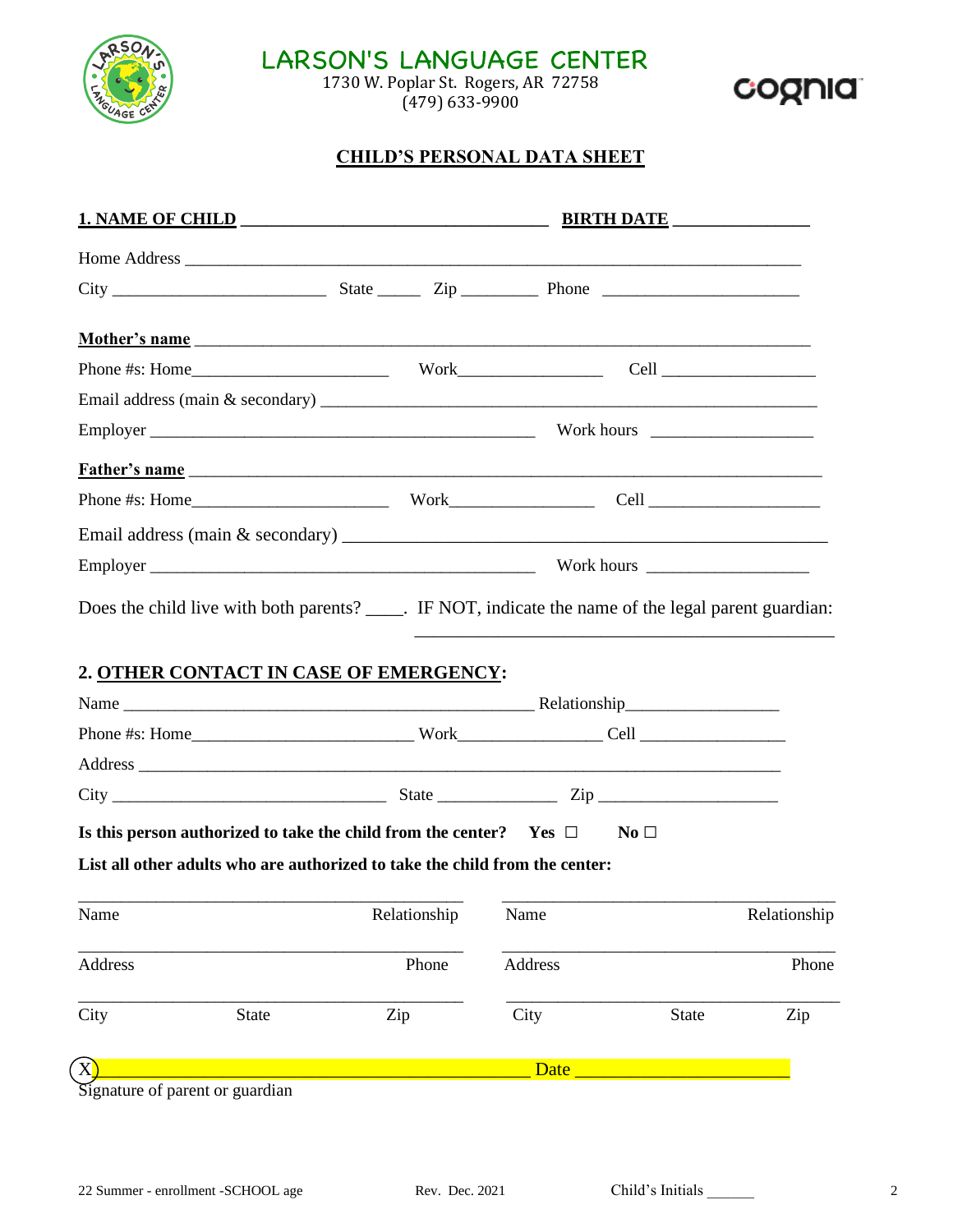

1730 W. Poplar St. Rogers, AR 72758 (479) 633-9900



#### **CHILD'S PERSONAL DATA SHEET**

|                                 |       | <u>Father's name</u>                                                              |         |       |              |
|---------------------------------|-------|-----------------------------------------------------------------------------------|---------|-------|--------------|
|                                 |       |                                                                                   |         |       |              |
|                                 |       |                                                                                   |         |       |              |
|                                 |       |                                                                                   |         |       |              |
|                                 |       | 2. OTHER CONTACT IN CASE OF EMERGENCY:                                            |         |       |              |
|                                 |       |                                                                                   |         |       |              |
|                                 |       |                                                                                   |         |       |              |
|                                 |       |                                                                                   |         |       |              |
|                                 |       | Is this person authorized to take the child from the center? Yes $\Box$ No $\Box$ |         |       |              |
|                                 |       | List all other adults who are authorized to take the child from the center:       |         |       |              |
| Name                            |       | Relationship                                                                      | Name    |       | Relationship |
| Address                         |       | Phone                                                                             | Address |       | Phone        |
| City                            | State | Zip                                                                               | City    | State | Zip          |
|                                 |       |                                                                                   | Date __ |       |              |
| Signature of parent or guardian |       |                                                                                   |         |       |              |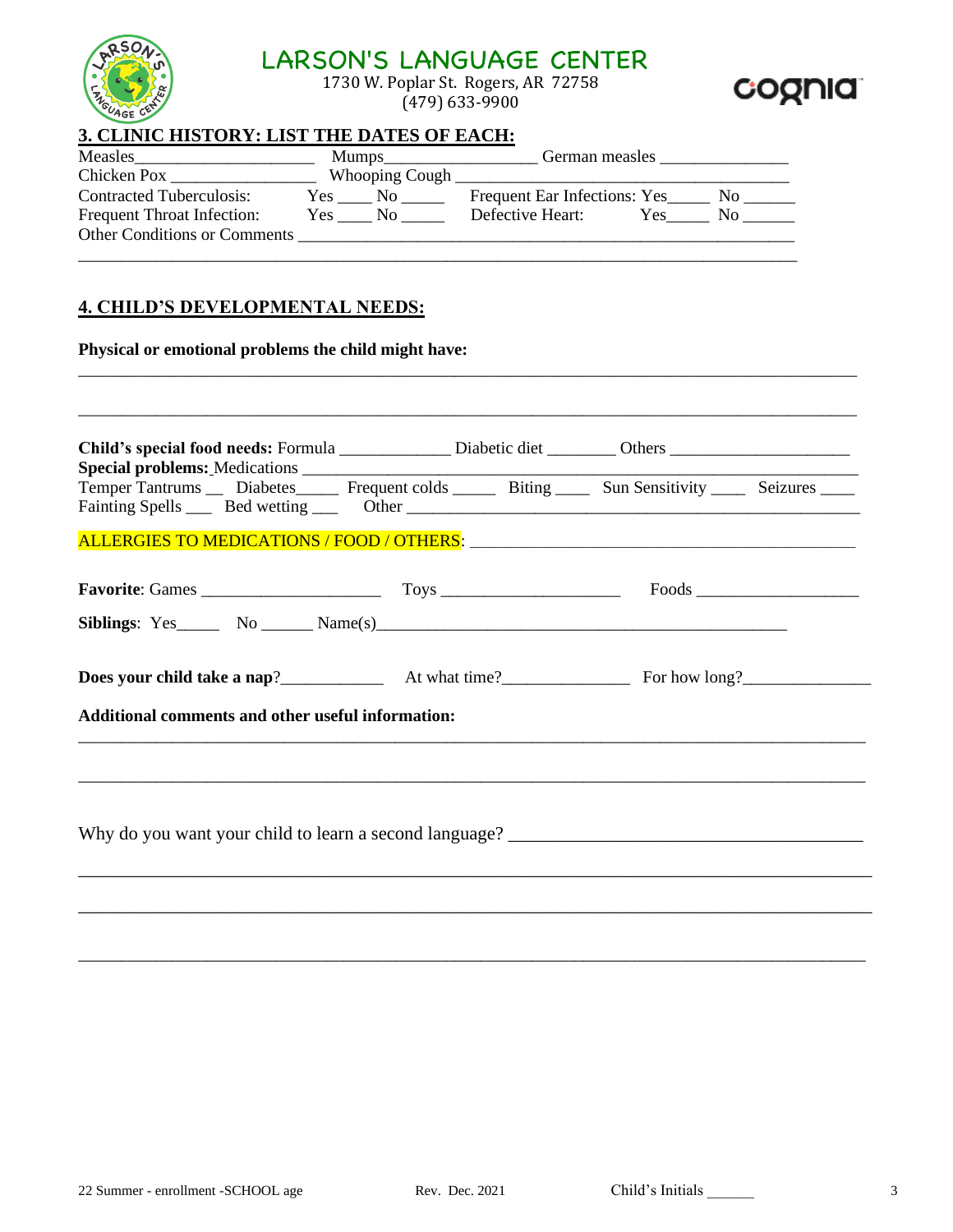

1730 W. Poplar St. Rogers, AR 72758 (479) 633-9900



#### **3. CLINIC HISTORY: LIST THE DATES OF EACH:**

|                                 |        | German measles                                    |  |
|---------------------------------|--------|---------------------------------------------------|--|
| Chicken Pox                     |        |                                                   |  |
| <b>Contracted Tuberculosis:</b> | Yes No | Frequent Ear Infections: Yes_________ No ________ |  |
| Frequent Throat Infection:      | Yes No | Defective Heart:<br><b>Yes</b><br>$\rm No$        |  |
| Other Conditions or Comments    |        |                                                   |  |
|                                 |        |                                                   |  |

#### **4. CHILD'S DEVELOPMENTAL NEEDS:**

**Physical or emotional problems the child might have:**

| Temper Tantrums __ Diabetes _____ Frequent colds _____ Biting _____ Sun Sensitivity ____ Seizures ____ |  |
|--------------------------------------------------------------------------------------------------------|--|
|                                                                                                        |  |
|                                                                                                        |  |
|                                                                                                        |  |
|                                                                                                        |  |
|                                                                                                        |  |
| Additional comments and other useful information:                                                      |  |
|                                                                                                        |  |
|                                                                                                        |  |
|                                                                                                        |  |
|                                                                                                        |  |
|                                                                                                        |  |

\_\_\_\_\_\_\_\_\_\_\_\_\_\_\_\_\_\_\_\_\_\_\_\_\_\_\_\_\_\_\_\_\_\_\_\_\_\_\_\_\_\_\_\_\_\_\_\_\_\_\_\_\_\_\_\_\_\_\_\_\_\_\_\_\_\_\_\_\_\_\_\_\_\_\_\_\_\_\_\_\_\_\_\_\_\_\_\_\_\_\_

\_\_\_\_\_\_\_\_\_\_\_\_\_\_\_\_\_\_\_\_\_\_\_\_\_\_\_\_\_\_\_\_\_\_\_\_\_\_\_\_\_\_\_\_\_\_\_\_\_\_\_\_\_\_\_\_\_\_\_\_\_\_\_\_\_\_\_\_\_\_\_\_\_\_\_\_\_\_\_\_\_\_\_\_\_\_\_\_\_\_\_\_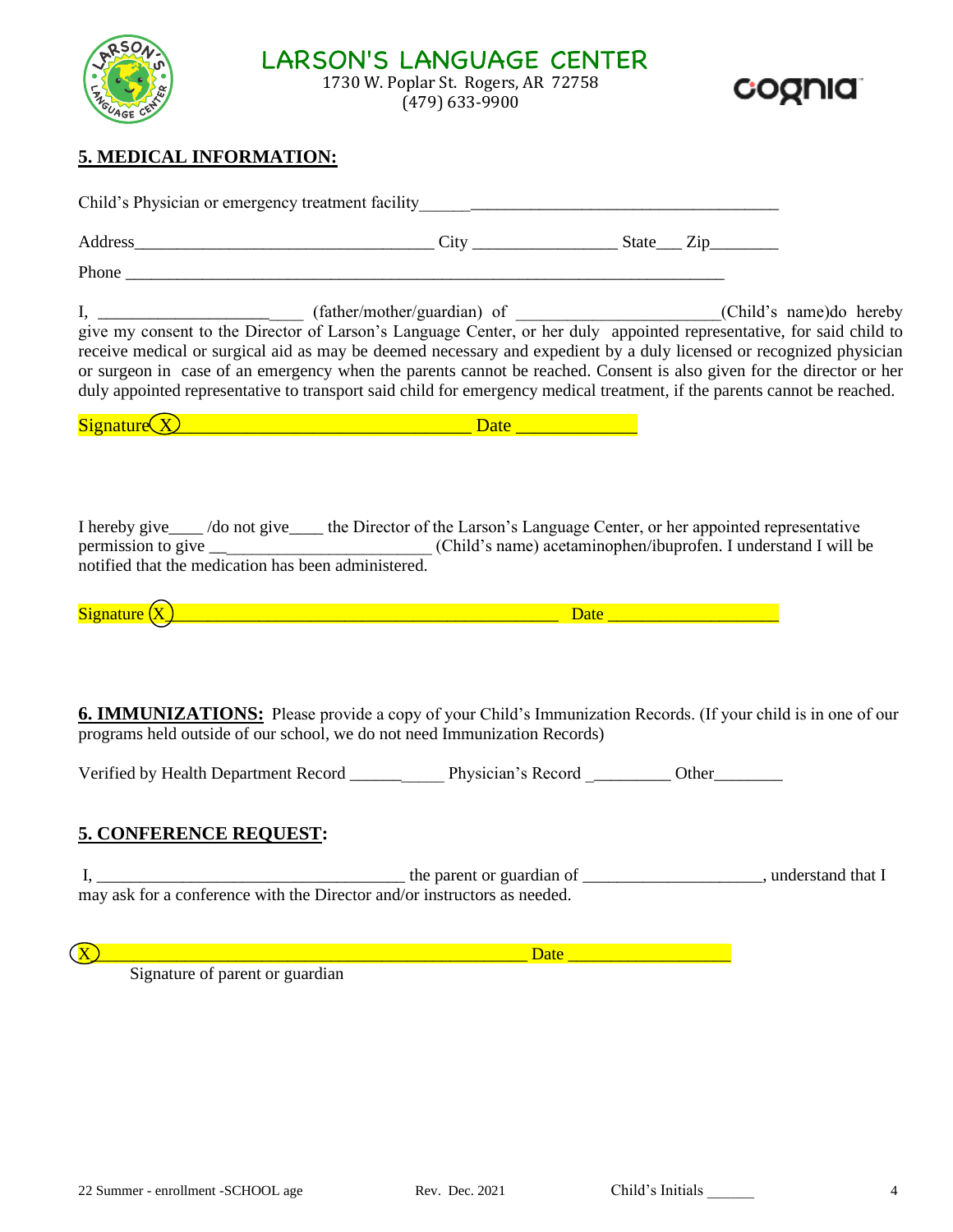

LARSON'S LANGUAGE CENTER 1730 W. Poplar St. Rogers, AR 72758

(479) 633-9900



#### **5. MEDICAL INFORMATION:**

|                                                     | Child's Physician or emergency treatment facility [19] [2012] [2013] [2013] [2013] [2014] [2014] [2014] [2014] [2014] [2014] [2014] [2014] [2014] [2014] [2014] [2014] [2014] [2014] [2014] [2014] [2014] [2014] [2014] [2014]                                                                                                                                                                                                                                                                  |  |  |
|-----------------------------------------------------|-------------------------------------------------------------------------------------------------------------------------------------------------------------------------------------------------------------------------------------------------------------------------------------------------------------------------------------------------------------------------------------------------------------------------------------------------------------------------------------------------|--|--|
|                                                     |                                                                                                                                                                                                                                                                                                                                                                                                                                                                                                 |  |  |
|                                                     |                                                                                                                                                                                                                                                                                                                                                                                                                                                                                                 |  |  |
|                                                     | give my consent to the Director of Larson's Language Center, or her duly appointed representative, for said child to<br>receive medical or surgical aid as may be deemed necessary and expedient by a duly licensed or recognized physician<br>or surgeon in case of an emergency when the parents cannot be reached. Consent is also given for the director or her<br>duly appointed representative to transport said child for emergency medical treatment, if the parents cannot be reached. |  |  |
|                                                     | $Signature(X)$ Date Date Date Decree Date Date                                                                                                                                                                                                                                                                                                                                                                                                                                                  |  |  |
| notified that the medication has been administered. | I hereby give____/do not give_____ the Director of the Larson's Language Center, or her appointed representative                                                                                                                                                                                                                                                                                                                                                                                |  |  |
|                                                     |                                                                                                                                                                                                                                                                                                                                                                                                                                                                                                 |  |  |
|                                                     | 6. IMMUNIZATIONS: Please provide a copy of your Child's Immunization Records. (If your child is in one of our<br>programs held outside of our school, we do not need Immunization Records)                                                                                                                                                                                                                                                                                                      |  |  |
|                                                     |                                                                                                                                                                                                                                                                                                                                                                                                                                                                                                 |  |  |
| <b>5. CONFERENCE REQUEST:</b>                       |                                                                                                                                                                                                                                                                                                                                                                                                                                                                                                 |  |  |
| $\widehat{\text{X}}$                                | <u> Date</u> Date Distribution of the Contract of the Contract of the Contract of the Contract of the Contract of the Contract of the Contract of the Contract of the Contract of the Contract of the Contract of the Contract of t                                                                                                                                                                                                                                                             |  |  |
| Signature of parent or guardian                     |                                                                                                                                                                                                                                                                                                                                                                                                                                                                                                 |  |  |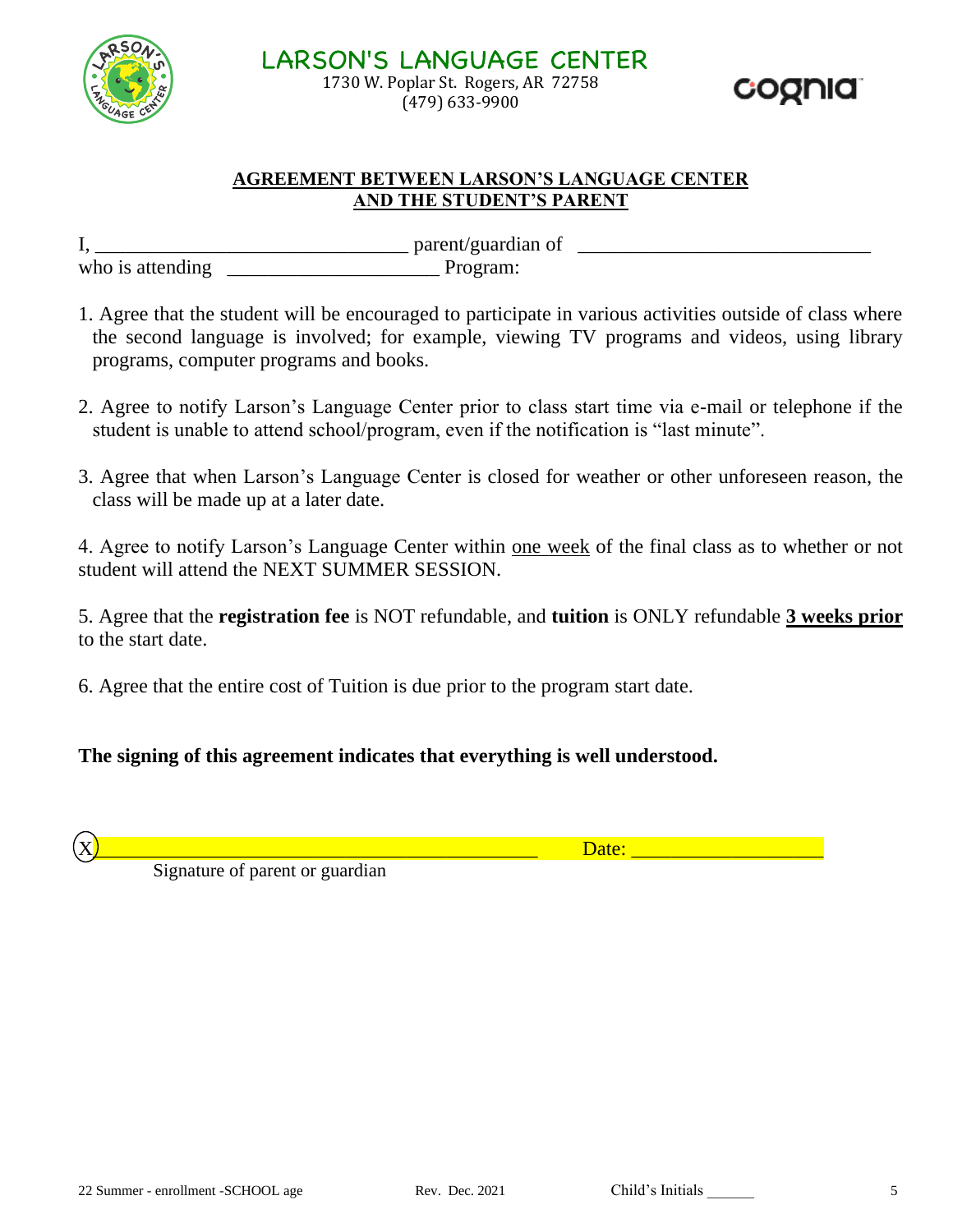



#### **AGREEMENT BETWEEN LARSON'S LANGUAGE CENTER AND THE STUDENT'S PARENT**

 $I, \_\_\_\_\_$  parent/guardian of  $\_\_\_\_\_\_\_$ who is attending \_\_\_\_\_\_\_\_\_\_\_\_\_\_\_\_\_\_\_\_\_ Program:

- 1. Agree that the student will be encouraged to participate in various activities outside of class where the second language is involved; for example, viewing TV programs and videos, using library programs, computer programs and books.
- 2. Agree to notify Larson's Language Center prior to class start time via e-mail or telephone if the student is unable to attend school/program, even if the notification is "last minute".
- 3. Agree that when Larson's Language Center is closed for weather or other unforeseen reason, the class will be made up at a later date.

4. Agree to notify Larson's Language Center within one week of the final class as to whether or not student will attend the NEXT SUMMER SESSION.

5. Agree that the **registration fee** is NOT refundable, and **tuition** is ONLY refundable **3 weeks prior** to the start date.

6. Agree that the entire cost of Tuition is due prior to the program start date.

**The signing of this agreement indicates that everything is well understood.**



 $\chi$  ) and the contract of the contract of the contract of the contract of  $\alpha$  . Date:  $\alpha$ 

Signature of parent or guardian